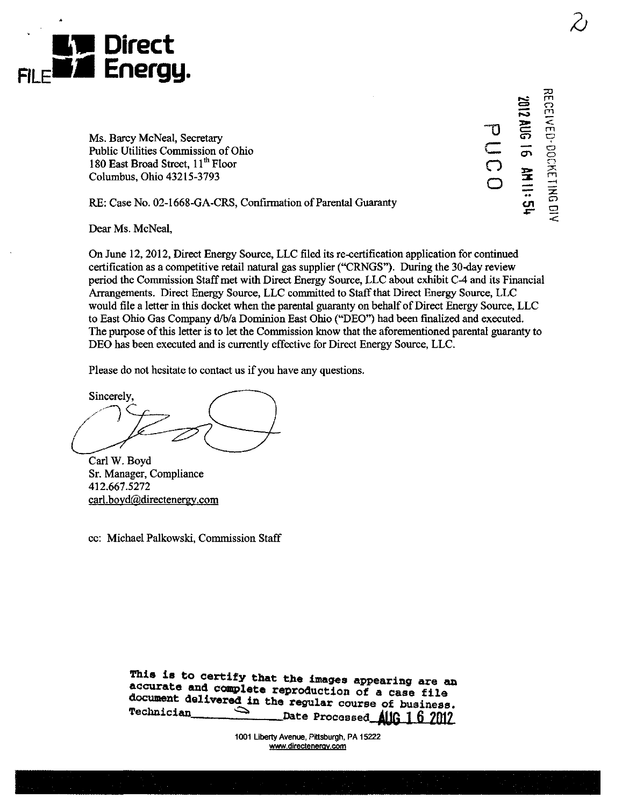

끊. ں<br>ے  $\overline{\overline{O}}$ o (=3  $\frac{3}{2}$ CT>  $\Xi$ •-•  $\tilde{\mathbf{h}}$ .r—  $\subseteq$  $=$  $\tilde{\mathbb{E}}$  $\tilde{\epsilon}$ ir. m —I <u>z</u> ር

Ms. Barcy McNeal, Secretary Public Utilities Commission of Ohio 180 East Broad Street, 11<sup>th</sup> Floor Columbus, Ohio 43215-3793

RE: Case No. 02-1668-GA-CRS, Confirmation of Parental Guaranty

Dear Ms. McNeal,

On June 12, 2012, Direct Energy Source, LLC filed its re-certification application for continued certification as a competitive retail natural gas supplier ("CRNGS"). During the 30-day review period the Commission Staff met with Direct Energy Source, LLC about exhibit C-4 and its Financial Arrangements. Direct Energy Source, LLC committed to Staff that Direct Energy Source, LLC would file a letter in this docket when the parental guaranty on behalf of Direct Energy Source, LLC to East Ohio Gas Company d/b/a Dominion East Ohio ("DEO") had been finalized and executed. The purpose of this letter is to let the Commission know that the aforementioned parental guaranty to DEO has been executed and is currently effective for Direct Energy Source, LLC.

Please do not hesitate to contact us if you have any questions.

Sincerely,

Carl W. Boyd Sr. Manager, Compliance 412.667.5272 carl.boyd@directenergy.com

cc: Michael Palkowski, Commission Staff

This is to certify that the images appearing are an accurate and complete reproduction of a case file document delivered in the regular course of business. Technician  $\hat{\phantom{0}}$ Date Processed AUG 1 6 2012

> 1001 Liberty Avenue, Pittsburgh, PA 15222 www.directenergy.com